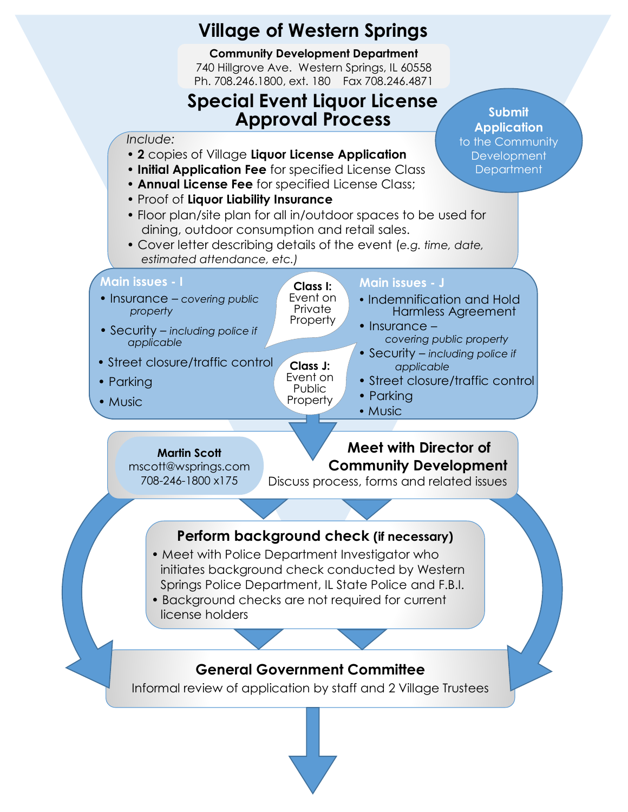